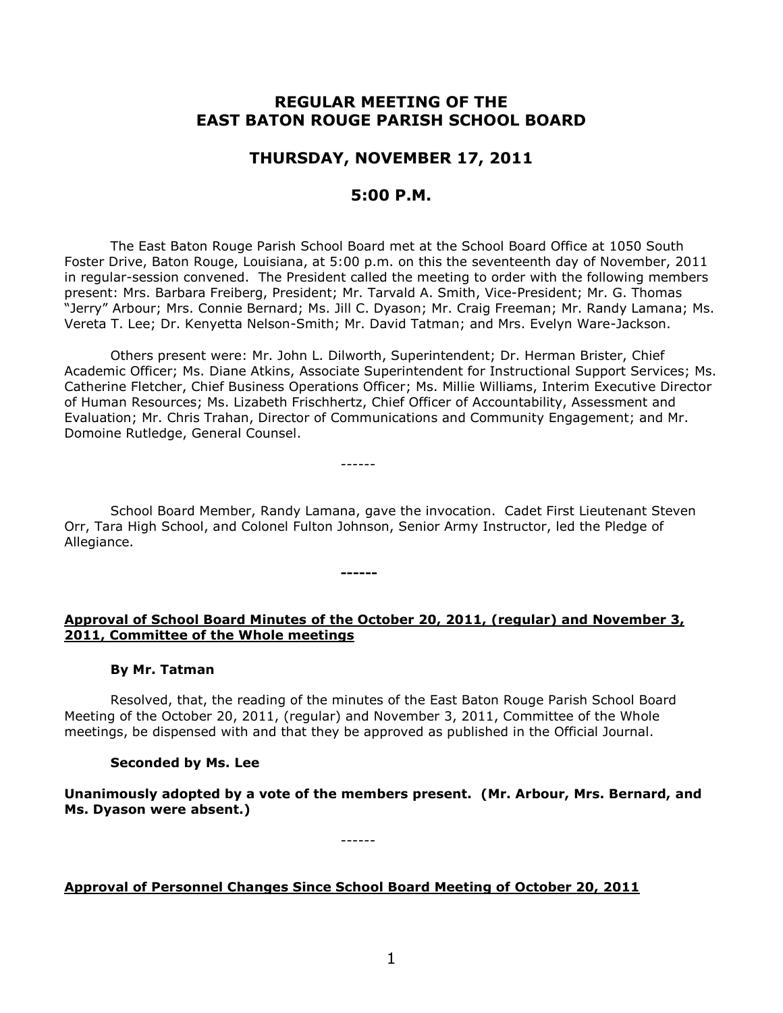# **REGULAR MEETING OF THE EAST BATON ROUGE PARISH SCHOOL BOARD**

# **THURSDAY, NOVEMBER 17, 2011**

## **5:00 P.M.**

The East Baton Rouge Parish School Board met at the School Board Office at 1050 South Foster Drive, Baton Rouge, Louisiana, at 5:00 p.m. on this the seventeenth day of November, 2011 in regular-session convened. The President called the meeting to order with the following members present: Mrs. Barbara Freiberg, President; Mr. Tarvald A. Smith, Vice-President; Mr. G. Thomas "Jerry" Arbour; Mrs. Connie Bernard; Ms. Jill C. Dyason; Mr. Craig Freeman; Mr. Randy Lamana; Ms. Vereta T. Lee; Dr. Kenyetta Nelson-Smith; Mr. David Tatman; and Mrs. Evelyn Ware-Jackson.

Others present were: Mr. John L. Dilworth, Superintendent; Dr. Herman Brister, Chief Academic Officer; Ms. Diane Atkins, Associate Superintendent for Instructional Support Services; Ms. Catherine Fletcher, Chief Business Operations Officer; Ms. Millie Williams, Interim Executive Director of Human Resources; Ms. Lizabeth Frischhertz, Chief Officer of Accountability, Assessment and Evaluation; Mr. Chris Trahan, Director of Communications and Community Engagement; and Mr. Domoine Rutledge, General Counsel.

School Board Member, Randy Lamana, gave the invocation.Cadet First Lieutenant Steven Orr, Tara High School, and Colonel Fulton Johnson, Senior Army Instructor, led the Pledge of Allegiance.

------

**------**

### **Approval of School Board Minutes of the October 20, 2011, (regular) and November 3, 2011, Committee of the Whole meetings**

### **By Mr. Tatman**

Resolved, that, the reading of the minutes of the East Baton Rouge Parish School Board Meeting of the October 20, 2011, (regular) and November 3, 2011, Committee of the Whole meetings, be dispensed with and that they be approved as published in the Official Journal.

# **Seconded by Ms. Lee**

**Unanimously adopted by a vote of the members present. (Mr. Arbour, Mrs. Bernard, and Ms. Dyason were absent.)**

------

# **Approval of Personnel Changes Since School Board Meeting of October 20, 2011**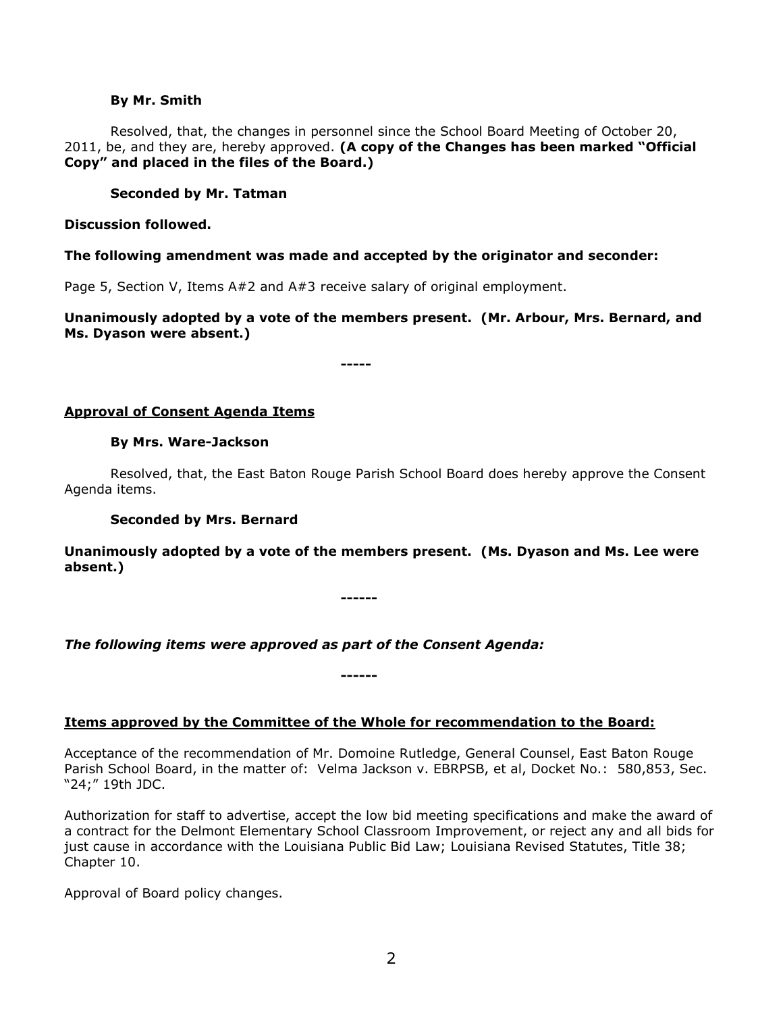#### **By Mr. Smith**

Resolved, that, the changes in personnel since the School Board Meeting of October 20, 2011, be, and they are, hereby approved. **(A copy of the Changes has been marked "Official Copy" and placed in the files of the Board.)**

### **Seconded by Mr. Tatman**

**Discussion followed.**

#### **The following amendment was made and accepted by the originator and seconder:**

Page 5, Section V, Items A#2 and A#3 receive salary of original employment.

**Unanimously adopted by a vote of the members present. (Mr. Arbour, Mrs. Bernard, and Ms. Dyason were absent.)**

**-----**

#### **Approval of Consent Agenda Items**

#### **By Mrs. Ware-Jackson**

Resolved, that, the East Baton Rouge Parish School Board does hereby approve the Consent Agenda items.

#### **Seconded by Mrs. Bernard**

**Unanimously adopted by a vote of the members present. (Ms. Dyason and Ms. Lee were absent.)**

**------**

*The following items were approved as part of the Consent Agenda:*

### **Items approved by the Committee of the Whole for recommendation to the Board:**

**------**

Acceptance of the recommendation of Mr. Domoine Rutledge, General Counsel, East Baton Rouge Parish School Board, in the matter of: Velma Jackson v. EBRPSB, et al, Docket No.: 580,853, Sec. "24;" 19th JDC.

Authorization for staff to advertise, accept the low bid meeting specifications and make the award of a contract for the Delmont Elementary School Classroom Improvement, or reject any and all bids for just cause in accordance with the Louisiana Public Bid Law; Louisiana Revised Statutes, Title 38; Chapter 10.

Approval of Board policy changes.